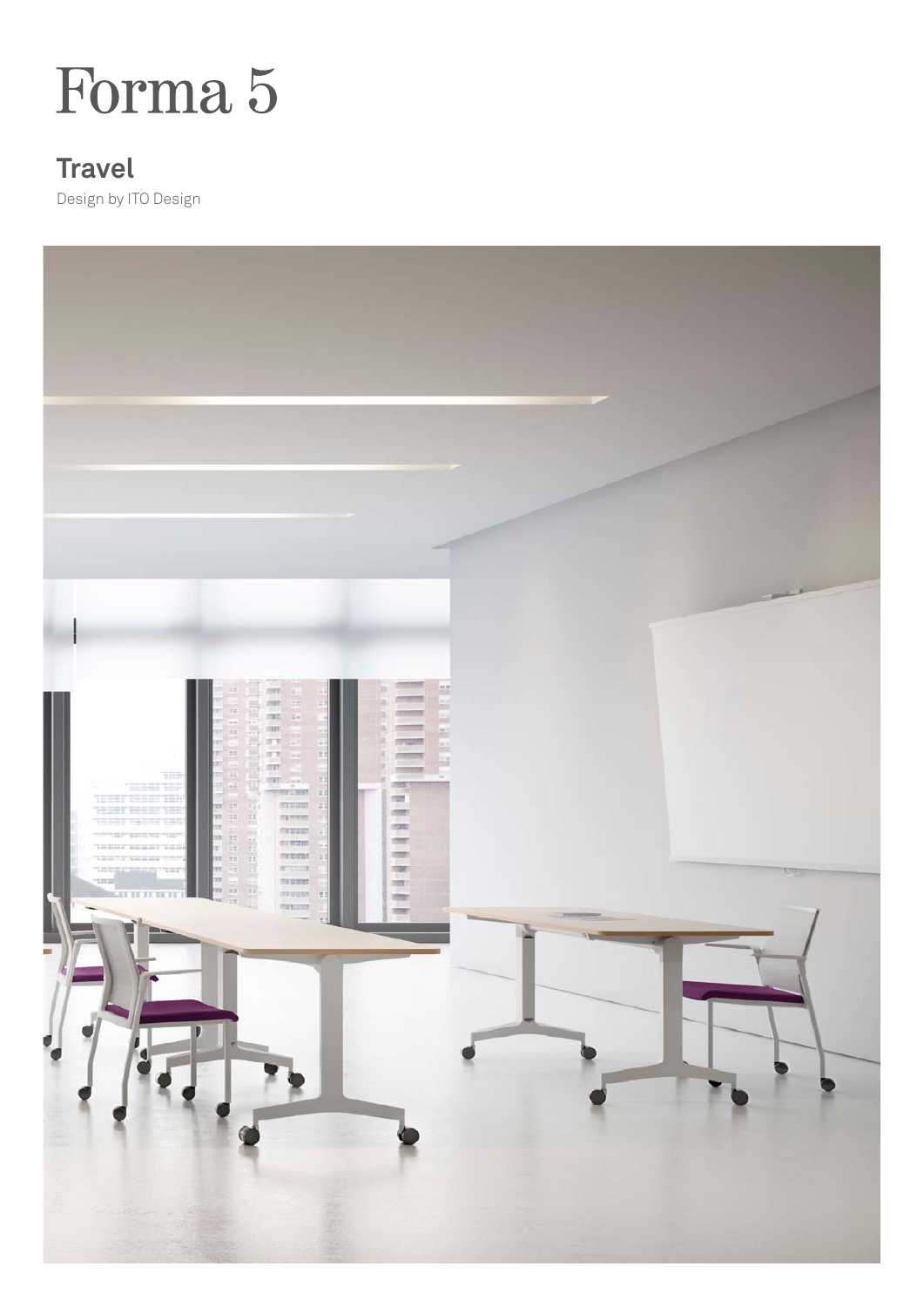# Forma 5

## **Travel**

Design by ITO Design

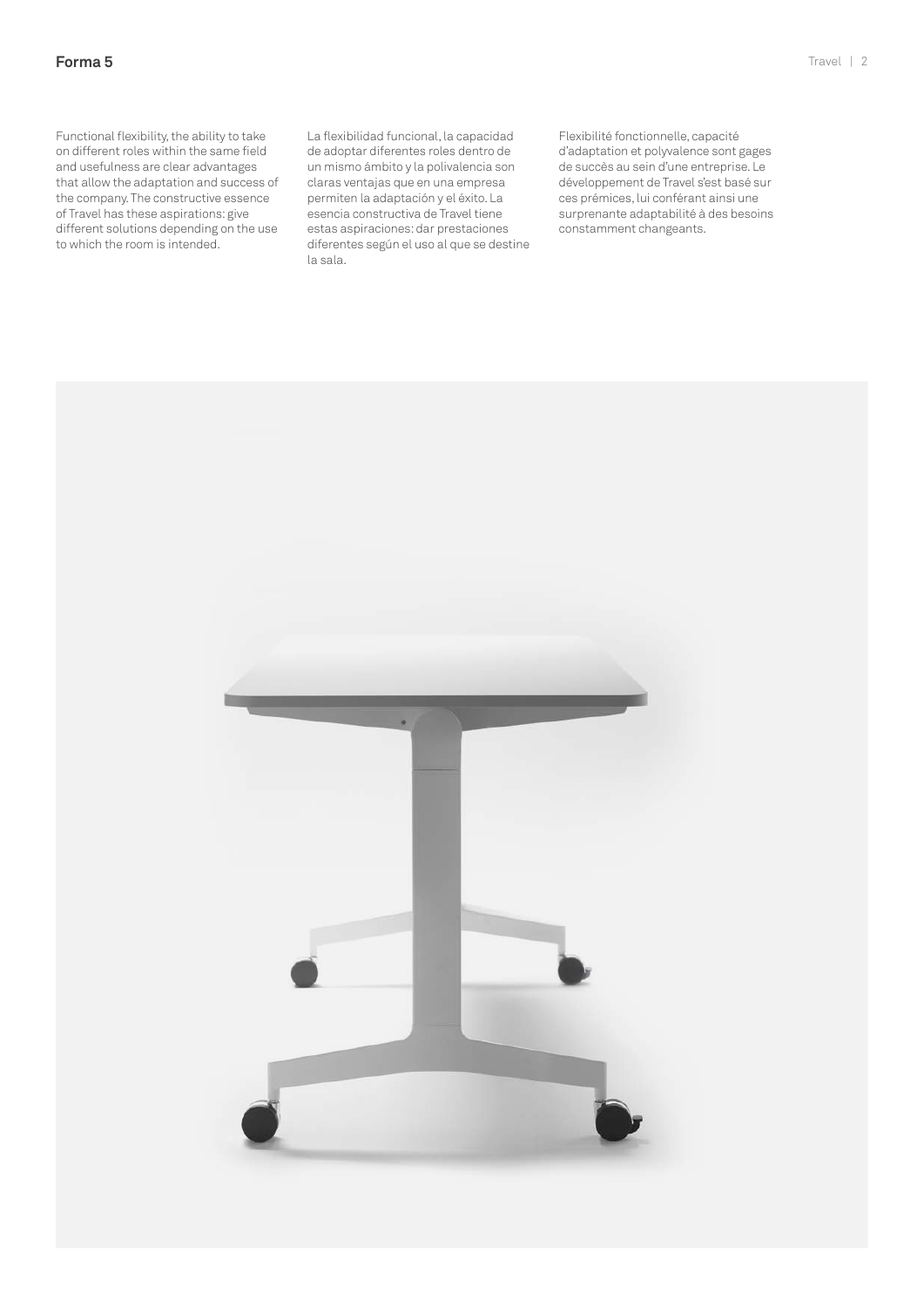Travel | 2

Functional flexibility, the ability to take on different roles within the same field and usefulness are clear advantages that allow the adaptation and success of the company. The constructive essence of Travel has these aspirations: give different solutions depending on the use to which the room is intended.

La flexibilidad funcional, la capacidad de adoptar diferentes roles dentro de un mismo ámbito y la polivalencia son claras ventajas que en una empresa permiten la adaptación y el éxito. La esencia constructiva de Travel tiene estas aspiraciones: dar prestaciones diferentes según el uso al que se destine la sala.

Flexibilité fonctionnelle, capacité d'adaptation et polyvalence sont gages de succès au sein d'une entreprise. Le développement de Travel s'est basé sur ces prémices, lui conférant ainsi une surprenante adaptabilité à des besoins constamment changeants.

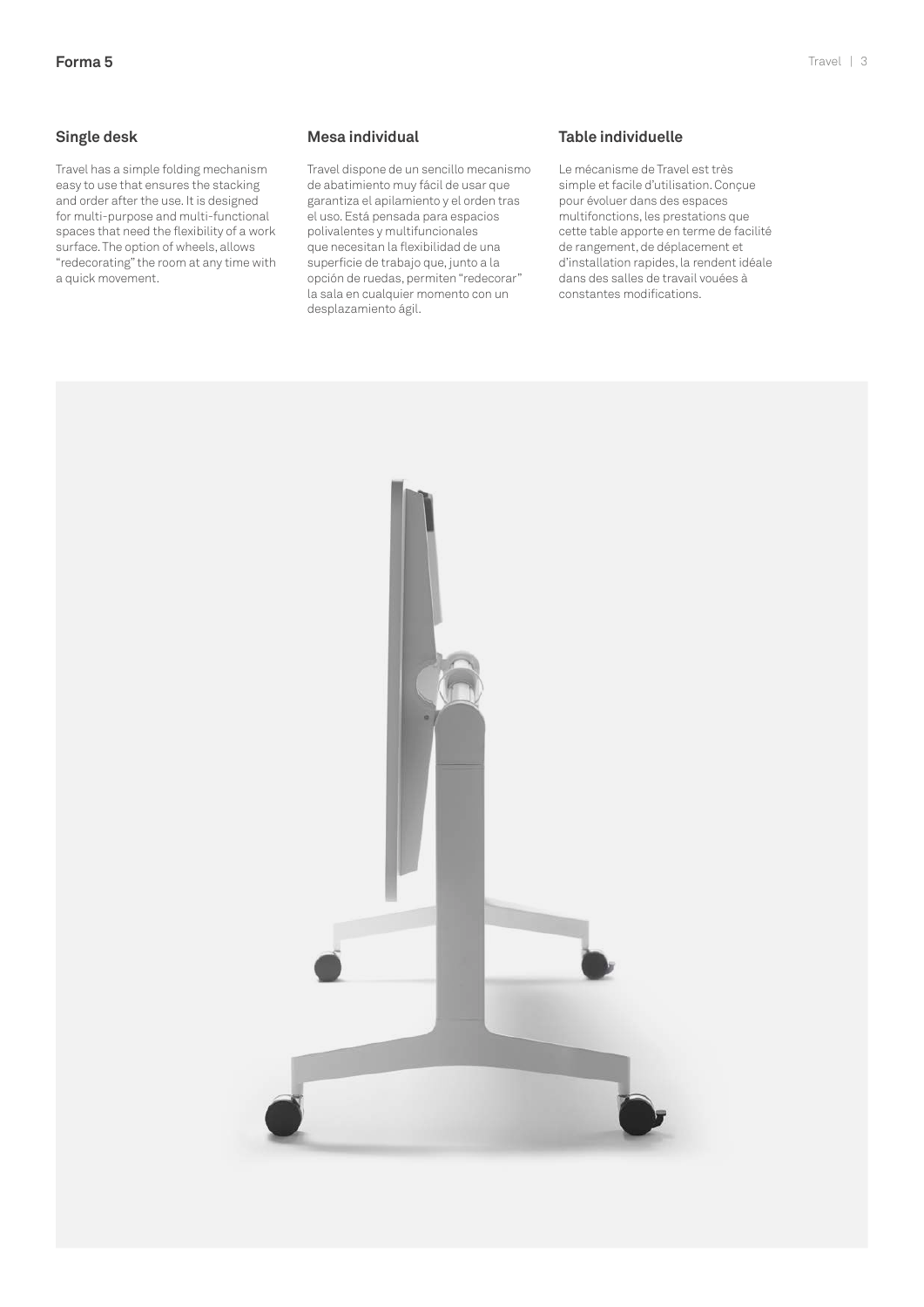#### **Single desk**

Travel has a simple folding mechanism easy to use that ensures the stacking and order after the use. It is designed for multi-purpose and multi-functional spaces that need the flexibility of a work surface. The option of wheels, allows "redecorating" the room at any time with a quick movement.

#### **Mesa individual**

Travel dispone de un sencillo mecanismo de abatimiento muy fácil de usar que garantiza el apilamiento y el orden tras el uso. Está pensada para espacios polivalentes y multifuncionales que necesitan la flexibilidad de una superficie de trabajo que, junto a la opción de ruedas, permiten "redecorar" la sala en cualquier momento con un desplazamiento ágil.

#### **Table individuelle**

Le mécanisme de Travel est très simple et facile d'utilisation. Conçue pour évoluer dans des espaces multifonctions, les prestations que cette table apporte en terme de facilité de rangement, de déplacement et d'installation rapides, la rendent idéale dans des salles de travail vouées à constantes modifications.

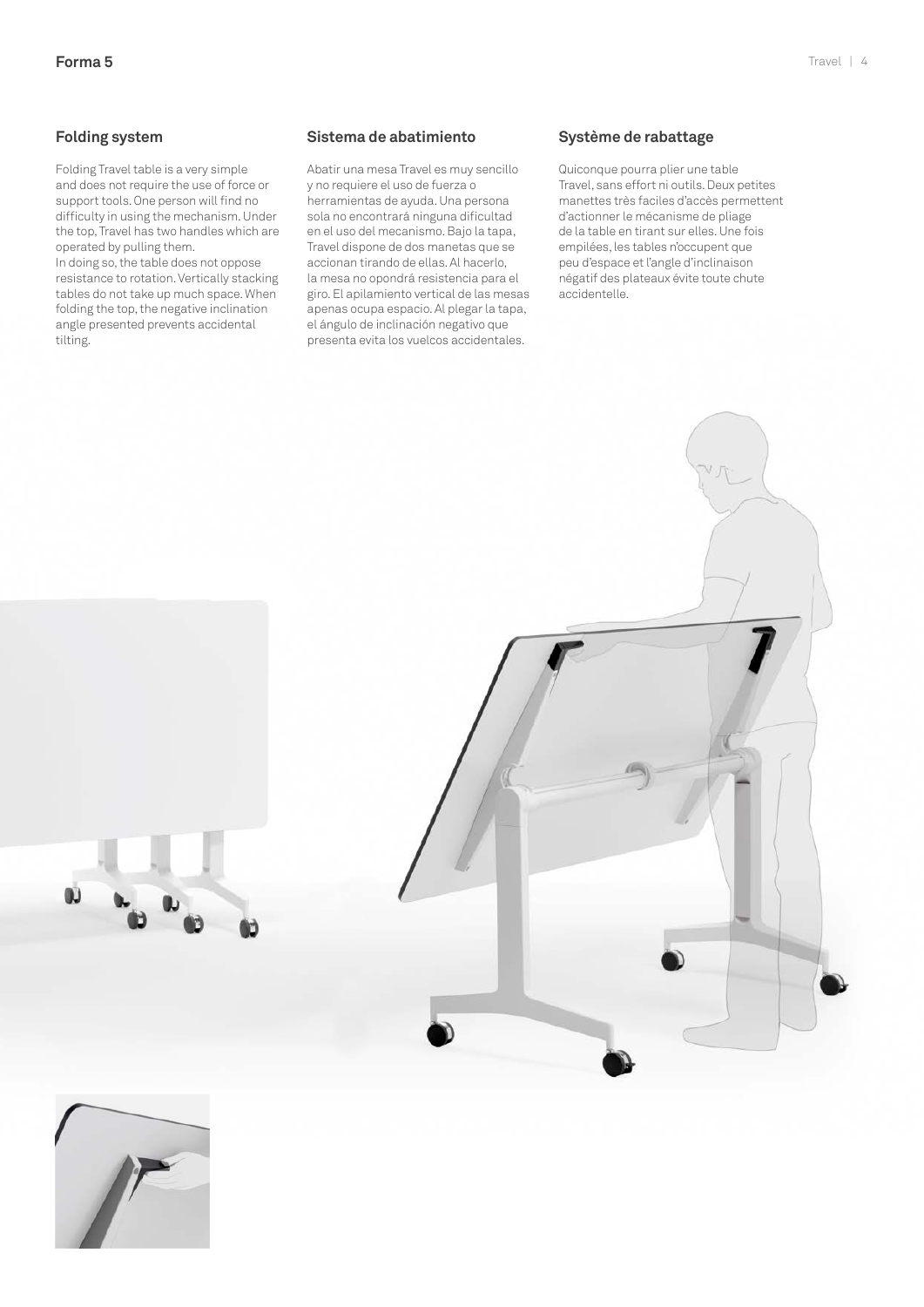#### **Folding system**

Folding Travel table is a very simple and does not require the use of force or support tools. One person will find no difficulty in using the mechanism. Under the top, Travel has two handles which are operated by pulling them.

In doing so, the table does not oppose resistance to rotation. Vertically stacking tables do not take up much space. When folding the top, the negative inclination angle presented prevents accidental tilting.

#### **Sistema de abatimiento**

Abatir una mesa Travel es muy sencillo y no requiere el uso de fuerza o herramientas de ayuda. Una persona sola no encontrará ninguna dificultad en el uso del mecanismo. Bajo la tapa, Travel dispone de dos manetas que se accionan tirando de ellas. Al hacerlo, la mesa no opondrá resistencia para el giro. El apilamiento vertical de las mesas apenas ocupa espacio. Al plegar la tapa, el ángulo de inclinación negativo que presenta evita los vuelcos accidentales.

#### **Système de rabattage**

Quiconque pourra plier une table Travel, sans effort ni outils. Deux petites manettes très faciles d'accès permettent d'actionner le mécanisme de pliage de la table en tirant sur elles. Une fois empilées, les tables n'occupent que peu d'espace et l'angle d'inclinaison négatif des plateaux évite toute chute accidentelle.



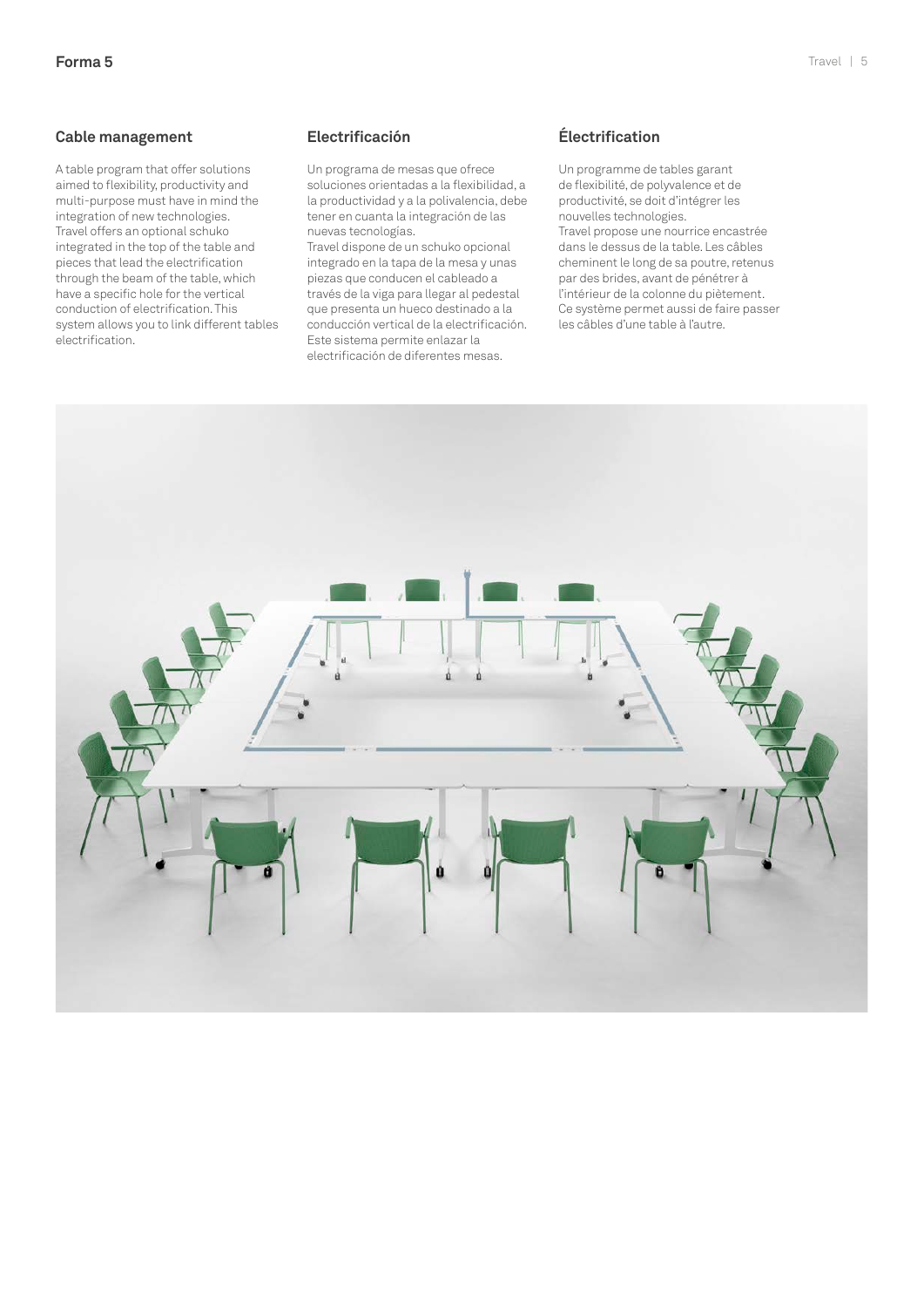#### **Cable management**

A table program that offer solutions aimed to flexibility, productivity and multi-purpose must have in mind the integration of new technologies. Travel offers an optional schuko integrated in the top of the table and pieces that lead the electrification through the beam of the table, which have a specific hole for the vertical conduction of electrification. This system allows you to link different tables electrification.

#### **Electrificación**

Un programa de mesas que ofrece soluciones orientadas a la flexibilidad, a la productividad y a la polivalencia, debe tener en cuanta la integración de las nuevas tecnologías.

Travel dispone de un schuko opcional integrado en la tapa de la mesa y unas piezas que conducen el cableado a través de la viga para llegar al pedestal que presenta un hueco destinado a la conducción vertical de la electrificación. Este sistema permite enlazar la electrificación de diferentes mesas.

#### **Électrification**

Un programme de tables garant de flexibilité, de polyvalence et de productivité, se doit d'intégrer les nouvelles technologies. Travel propose une nourrice encastrée dans le dessus de la table. Les câbles cheminent le long de sa poutre, retenus par des brides, avant de pénétrer à l'intérieur de la colonne du piètement. Ce système permet aussi de faire passer les câbles d'une table à l'autre.

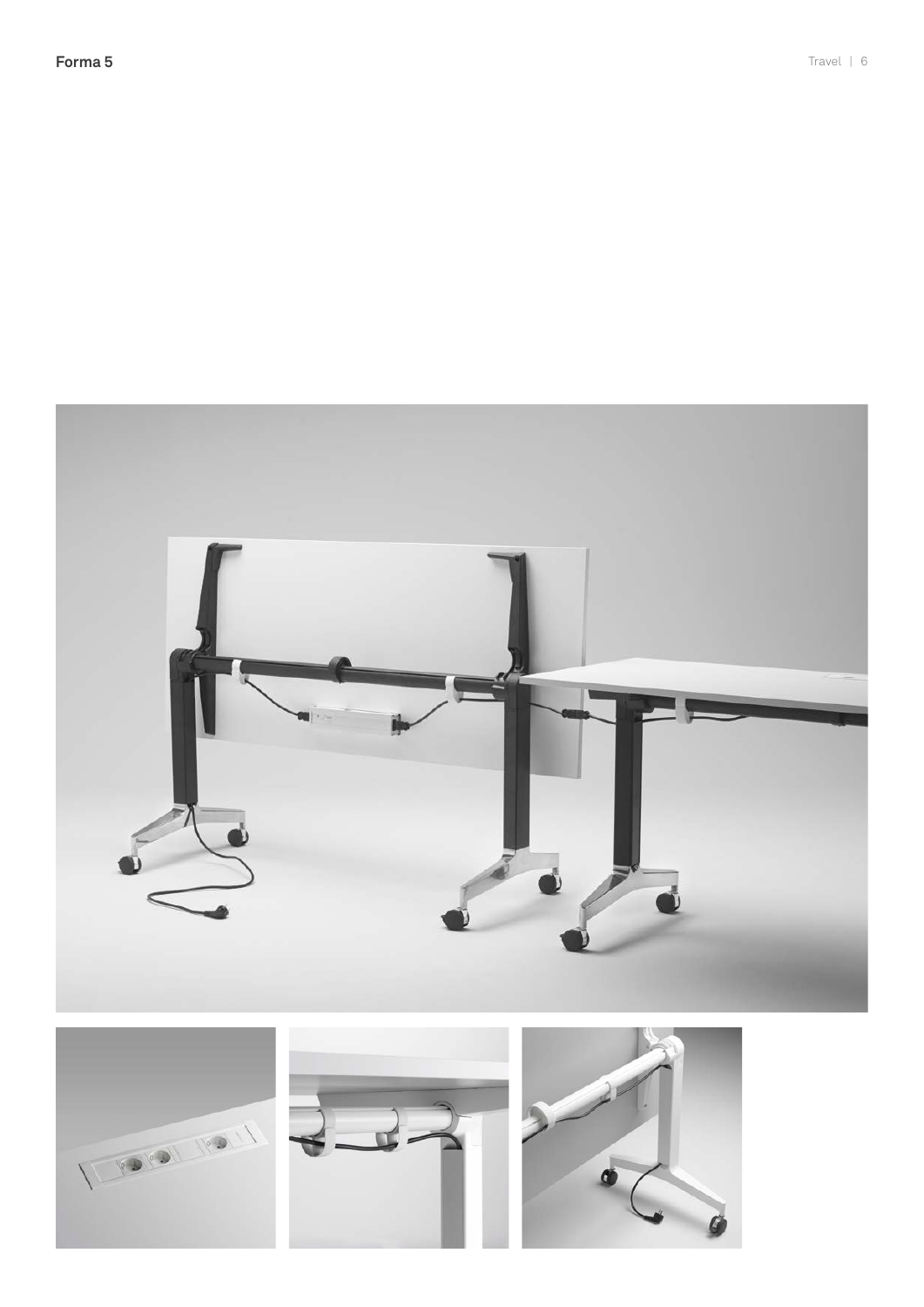

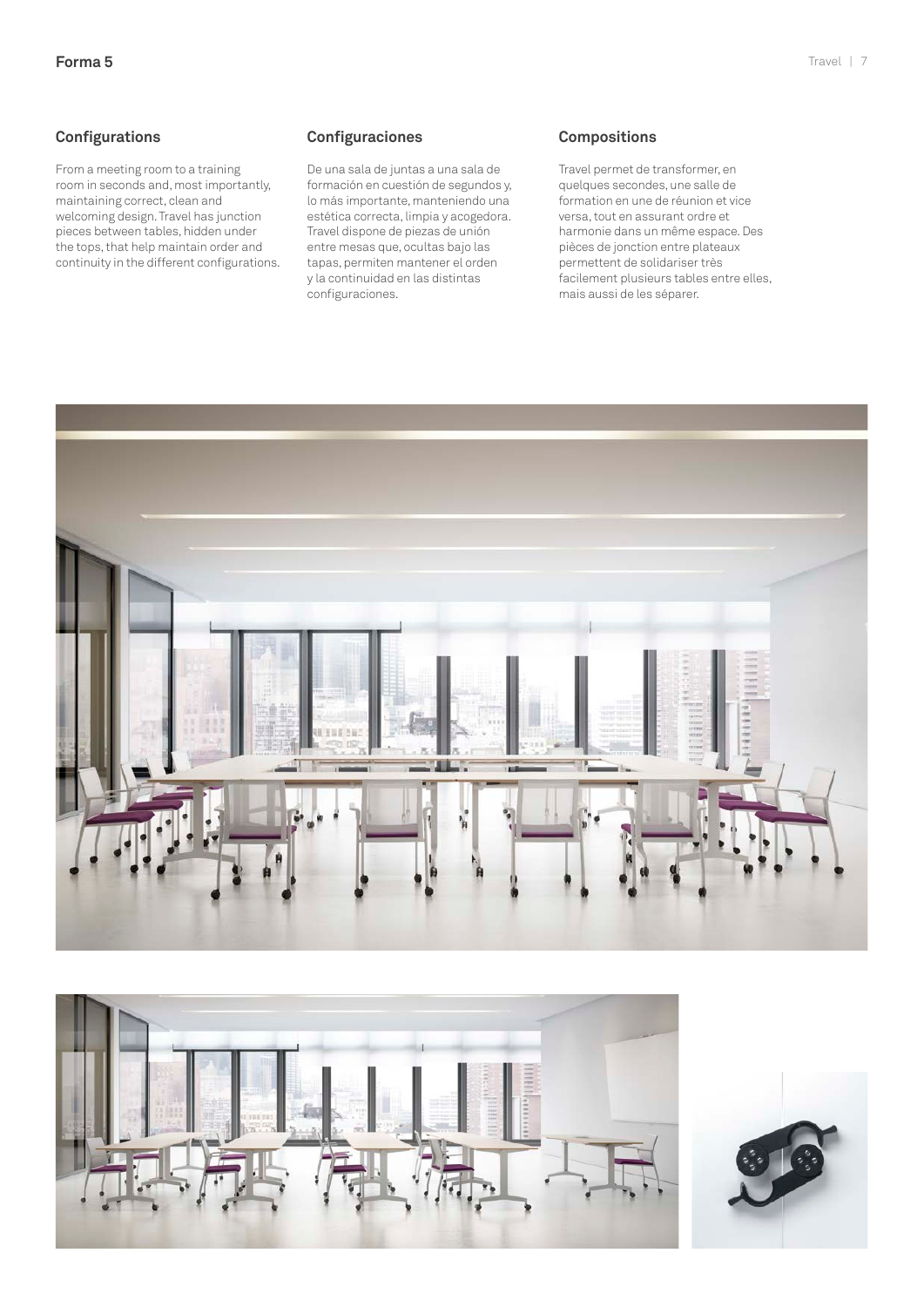#### **Configurations**

From a meeting room to a training room in seconds and, most importantly, maintaining correct, clean and welcoming design. Travel has junction pieces between tables, hidden under the tops, that help maintain order and continuity in the different configurations.

#### **Configuraciones**

De una sala de juntas a una sala de formación en cuestión de segundos y, lo más importante, manteniendo una estética correcta, limpia y acogedora. Travel dispone de piezas de unión entre mesas que, ocultas bajo las tapas, permiten mantener el orden y la continuidad en las distintas configuraciones.

#### **Compositions**

Travel permet de transformer, en quelques secondes, une salle de formation en une de réunion et vice versa, tout en assurant ordre et harmonie dans un même espace. Des pièces de jonction entre plateaux permettent de solidariser très facilement plusieurs tables entre elles, mais aussi de les séparer.





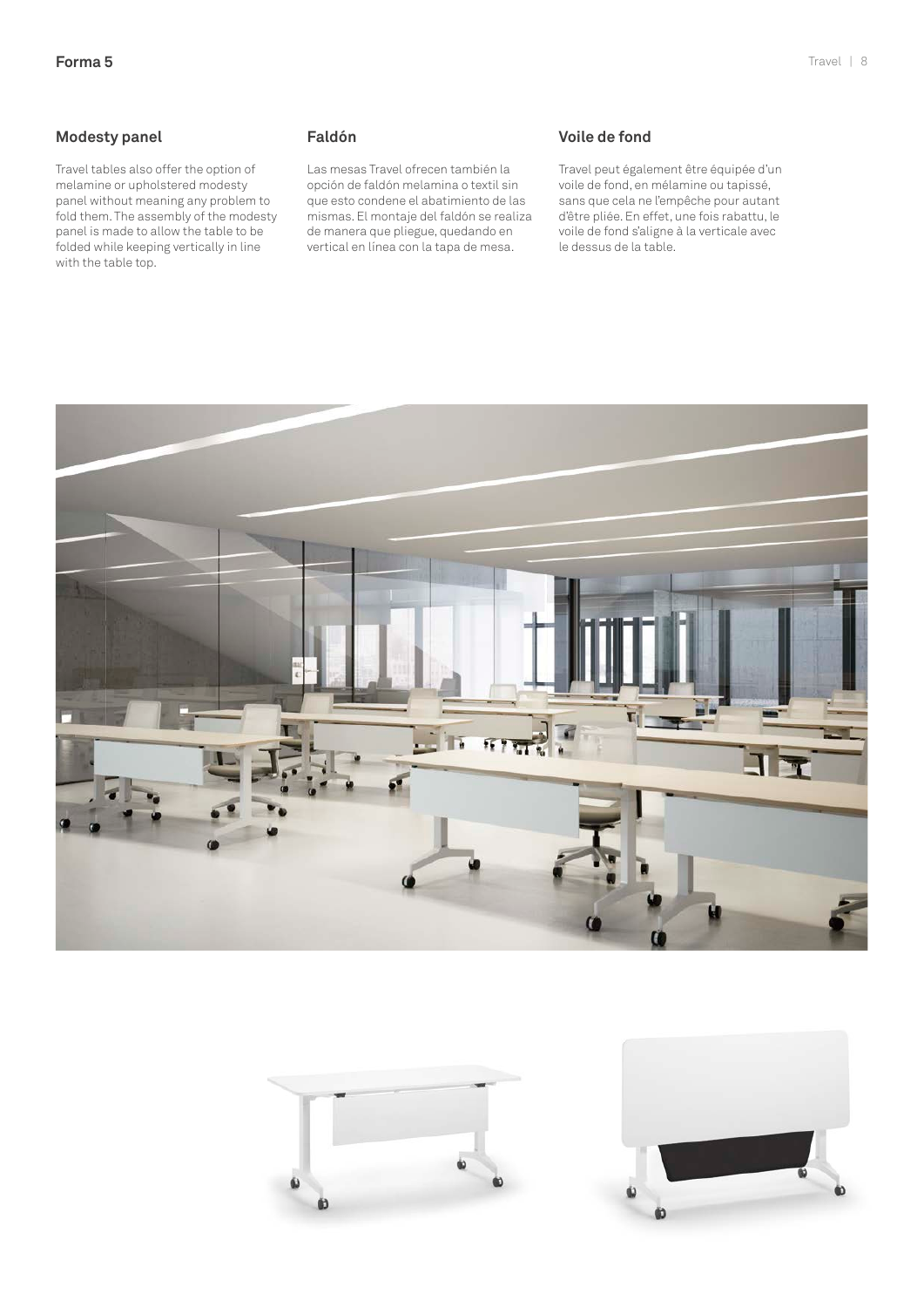#### **Modesty panel**

Travel tables also offer the option of melamine or upholstered modesty panel without meaning any problem to fold them. The assembly of the modesty panel is made to allow the table to be folded while keeping vertically in line with the table top.

#### **Faldón**

Las mesas Travel ofrecen también la opción de faldón melamina o textil sin que esto condene el abatimiento de las mismas. El montaje del faldón se realiza de manera que pliegue, quedando en vertical en línea con la tapa de mesa.

#### **Voile de fond**

Travel peut également être équipée d'un voile de fond, en mélamine ou tapissé, sans que cela ne l'empêche pour autant d'être pliée. En effet, une fois rabattu, le voile de fond s'aligne à la verticale avec le dessus de la table.



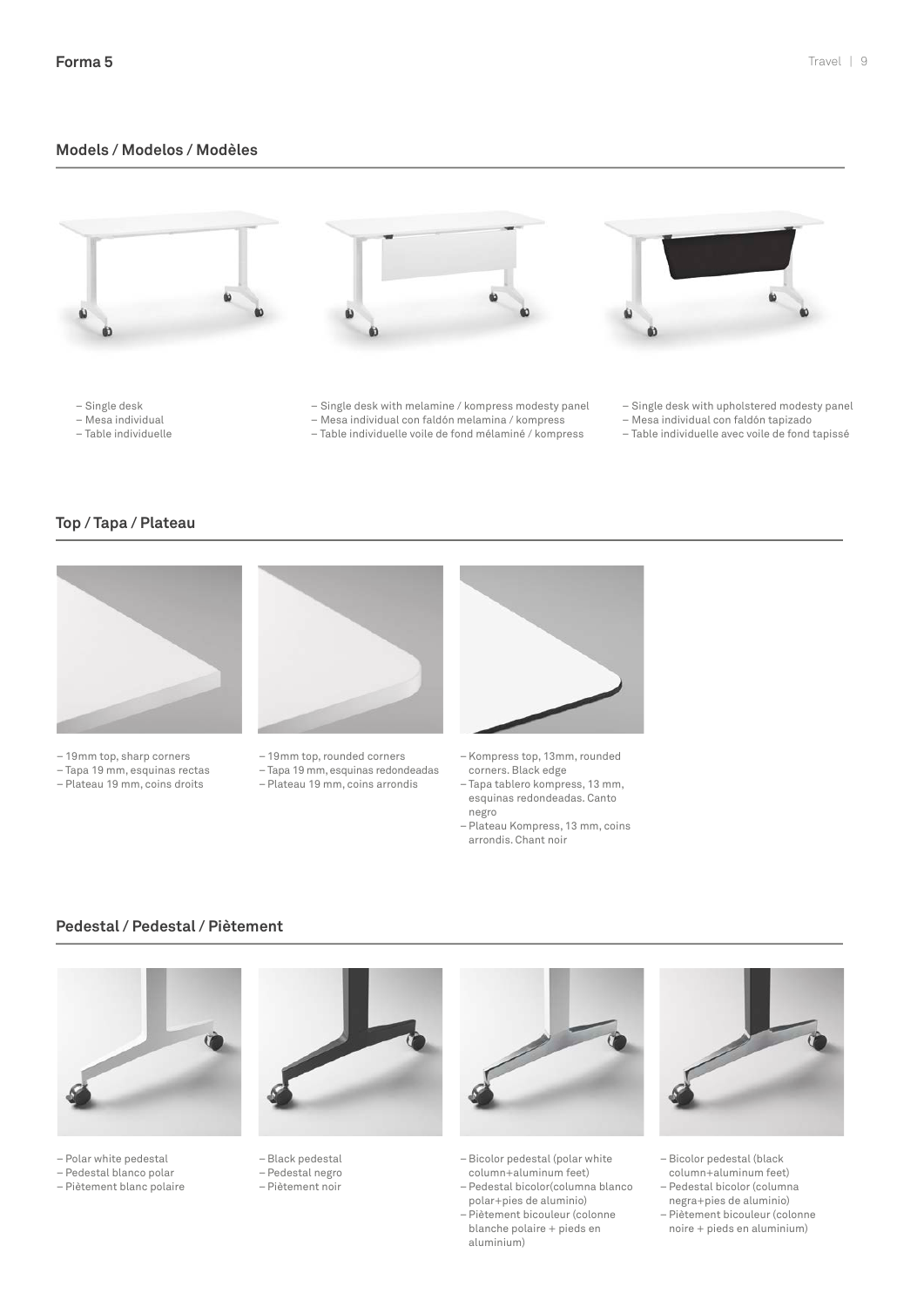#### **Models / Modelos / Modèles**



- Single desk – Mesa individual
- Table individuelle
- Single desk with melamine / kompress modesty panel – Mesa individual con faldón melamina / kompress
- Table individuelle voile de fond mélaminé / kompress
- Single desk with upholstered modesty panel
- Mesa individual con faldón tapizado
- Table individuelle avec voile de fond tapissé

#### **Top / Tapa / Plateau**



- –Tapa 19 mm, esquinas rectas
- –Plateau 19 mm, coins droits
- –Tapa 19 mm, esquinas redondeadas
- –Plateau 19 mm, coins arrondis



- corners. Black edge
- –Tapa tablero kompress, 13 mm, esquinas redondeadas. Canto negro
- –Plateau Kompress, 13 mm, coins arrondis. Chant noir

#### **Pedestal / Pedestal / Piètement**



- –Polar white pedestal
- –Pedestal blanco polar
- –Piètement blanc polaire



- –Black pedestal –Pedestal negro
- –Piètement noir



- –Bicolor pedestal (polar white column+aluminum feet)
- –Pedestal bicolor(columna blanco polar+pies de aluminio)
- –Piètement bicouleur (colonne blanche polaire + pieds en aluminium)



- –Bicolor pedestal (black column+aluminum feet)
- –Pedestal bicolor (columna
- negra+pies de aluminio)
- –Piètement bicouleur (colonne noire + pieds en aluminium)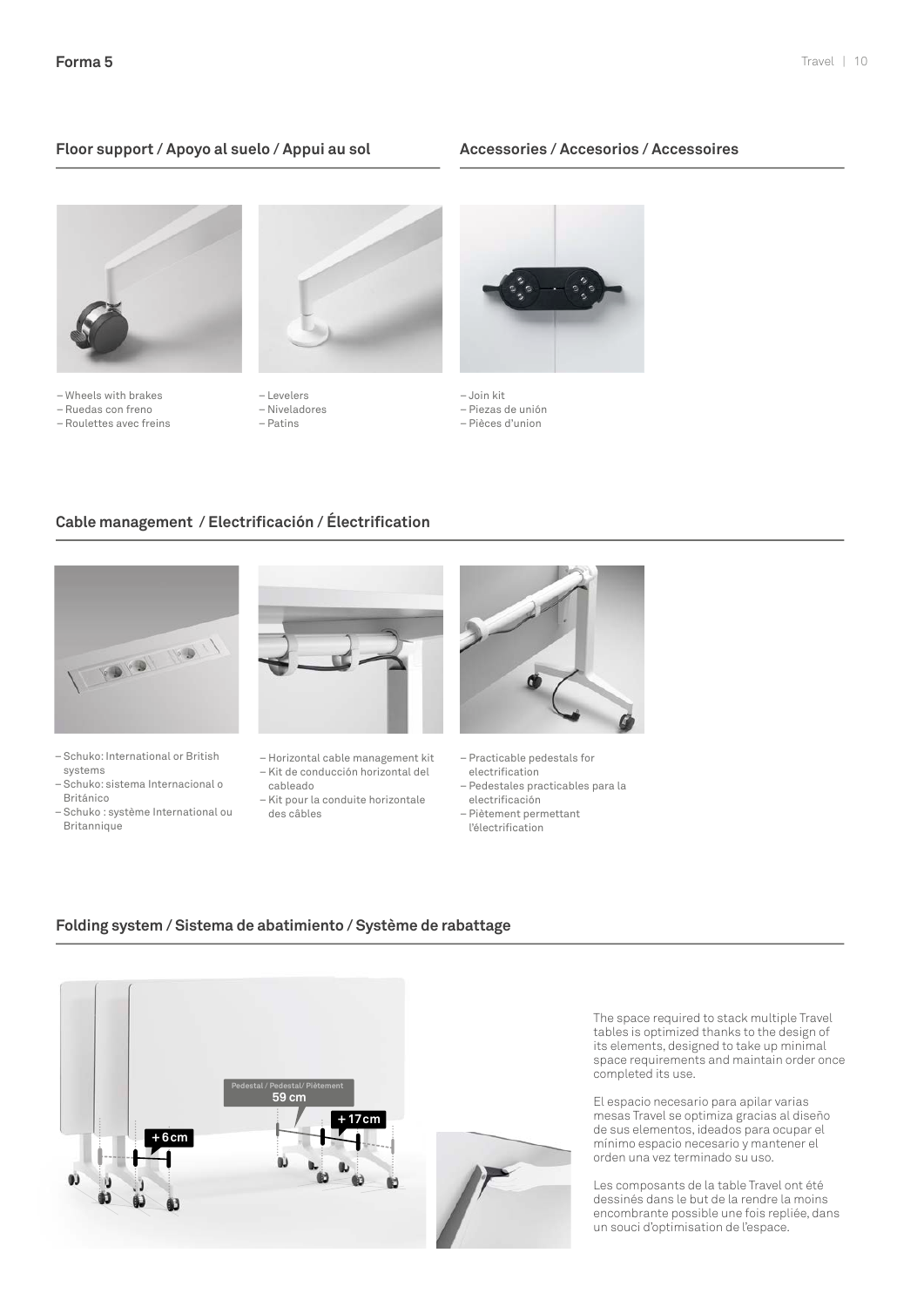### **Floor support / Apoyo al suelo / Appui au sol Accessories / Accesorios / Accessoires**



– Wheels with brakes –Ruedas con freno

–Roulettes avec freins



- –Levelers – Niveladores
- –Patins



–Join kit –Piezas de unión –Pièces d'union

#### **Cable management / Electrificación / Électrification**



- –Schuko: International or British systems
- –Schuko: sistema Internacional o Británico
- –Schuko : système International ou Britannique



- Horizontal cable management kit –Kit de conducción horizontal del
- cableado –Kit pour la conduite horizontale
- des câbles



- –Practicable pedestals for
- electrification
- –Pedestales practicables para la electrificación
- –Piètement permettant l'électrification

#### **Folding system / Sistema de abatimiento / Système de rabattage**



The space required to stack multiple Travel tables is optimized thanks to the design of its elements, designed to take up minimal space requirements and maintain order once completed its use.

El espacio necesario para apilar varias mesas Travel se optimiza gracias al diseño de sus elementos, ideados para ocupar el mínimo espacio necesario y mantener el orden una vez terminado su uso.

Les composants de la table Travel ont été dessinés dans le but de la rendre la moins encombrante possible une fois repliée, dans un souci d'optimisation de l'espace.